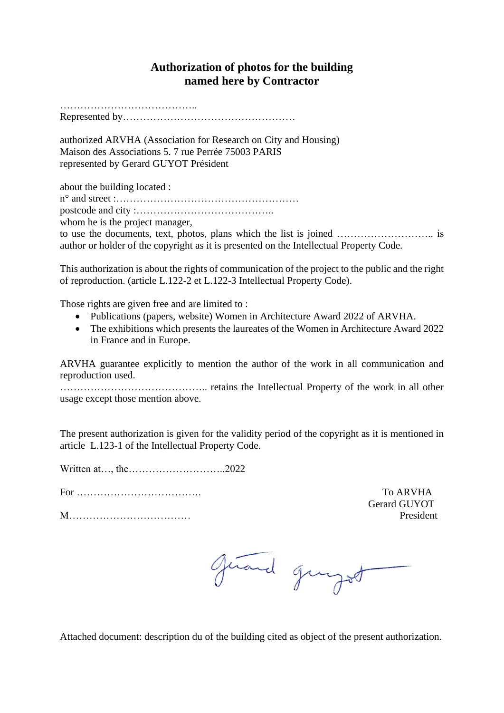## **Authorization of photos for the building named here by Contractor**

………………………………………

Represented by……………………………………………

authorized ARVHA (Association for Research on City and Housing) Maison des Associations 5. 7 rue Perrée 75003 PARIS represented by Gerard GUYOT Président

about the building located :

n° and street :……………………………………………… postcode and city :…………………………………..

whom he is the project manager,

to use the documents, text, photos, plans which the list is joined ……………………….. is author or holder of the copyright as it is presented on the Intellectual Property Code.

This authorization is about the rights of communication of the project to the public and the right of reproduction. (article L.122-2 et L.122-3 Intellectual Property Code).

Those rights are given free and are limited to :

- Publications (papers, website) Women in Architecture Award 2022 of ARVHA.
- The exhibitions which presents the laureates of the Women in Architecture Award 2022 in France and in Europe.

ARVHA guarantee explicitly to mention the author of the work in all communication and reproduction used.

…………………………………….. retains the Intellectual Property of the work in all other usage except those mention above.

The present authorization is given for the validity period of the copyright as it is mentioned in article L.123-1 of the Intellectual Property Code.

Written at…, the………………………..2022

For ………………………………. To ARVHA

M……………………………… President

Gerard GUYOT

givend gungod

Attached document: description du of the building cited as object of the present authorization.